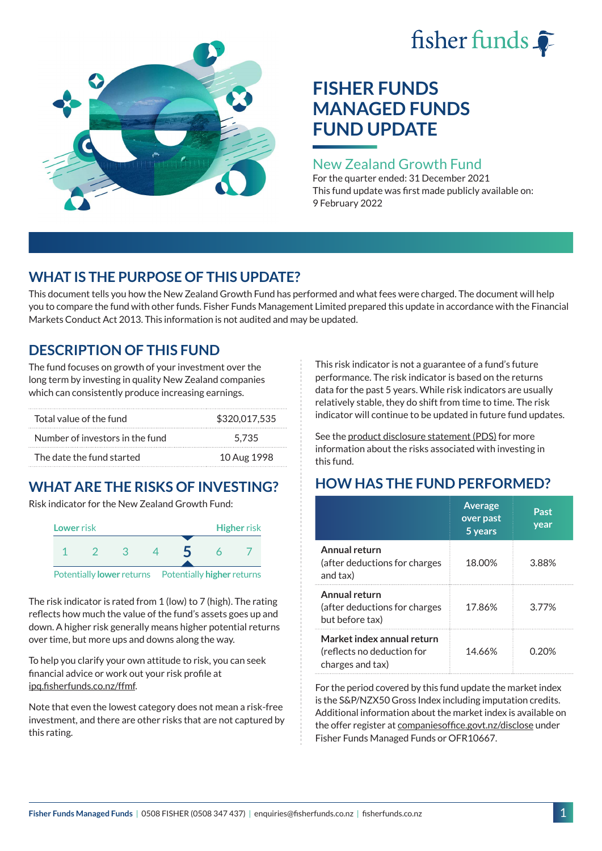# fisher funds  $\hat{\bullet}$



# **FISHER FUNDS MANAGED FUNDS FUND UPDATE**

## New Zealand Growth Fund

For the quarter ended: 31 December 2021 This fund update was first made publicly available on: 9 February 2022

# **WHAT IS THE PURPOSE OF THIS UPDATE?**

This document tells you how the New Zealand Growth Fund has performed and what fees were charged. The document will help you to compare the fund with other funds. Fisher Funds Management Limited prepared this update in accordance with the Financial Markets Conduct Act 2013. This information is not audited and may be updated.

# **DESCRIPTION OF THIS FUND**

The fund focuses on growth of your investment over the long term by investing in quality New Zealand companies which can consistently produce increasing earnings.

| Total value of the fund         | \$320,017,535 |  |  |
|---------------------------------|---------------|--|--|
| Number of investors in the fund | 5.735         |  |  |
| The date the fund started       | 10 Aug 1998   |  |  |

# **WHAT ARE THE RISKS OF INVESTING?**

Risk indicator for the New Zealand Growth Fund:



The risk indicator is rated from 1 (low) to 7 (high). The rating reflects how much the value of the fund's assets goes up and down. A higher risk generally means higher potential returns over time, but more ups and downs along the way.

To help you clarify your own attitude to risk, you can seek financial advice or work out your risk profile at [ipq.fisherfunds.co.nz/ffmf](https://ipq.fisherfunds.co.nz/ffmf).

Note that even the lowest category does not mean a risk-free investment, and there are other risks that are not captured by this rating.

This risk indicator is not a guarantee of a fund's future performance. The risk indicator is based on the returns data for the past 5 years. While risk indicators are usually relatively stable, they do shift from time to time. The risk indicator will continue to be updated in future fund updates.

See the [product disclosure statement \(PDS\)](https://fisherfunds.co.nz/assets/PDS/Fisher-Funds-Managed-Funds-PDS.pdf) for more information about the risks associated with investing in this fund.

# **HOW HAS THE FUND PERFORMED?**

|                                                                              | <b>Average</b><br>over past<br>5 years | Past<br>year |
|------------------------------------------------------------------------------|----------------------------------------|--------------|
| Annual return<br>(after deductions for charges<br>and tax)                   | 18.00%                                 | 3.88%        |
| Annual return<br>(after deductions for charges<br>but before tax)            | 17.86%                                 | 3.77%        |
| Market index annual return<br>(reflects no deduction for<br>charges and tax) | 14.66%                                 | በ 20%        |

For the period covered by this fund update the market index is the S&P/NZX50 Gross Index including imputation credits. Additional information about the market index is available on the offer register at [companiesoffice.govt.nz/disclose](http://companiesoffice.govt.nz/disclose) under Fisher Funds Managed Funds or OFR10667.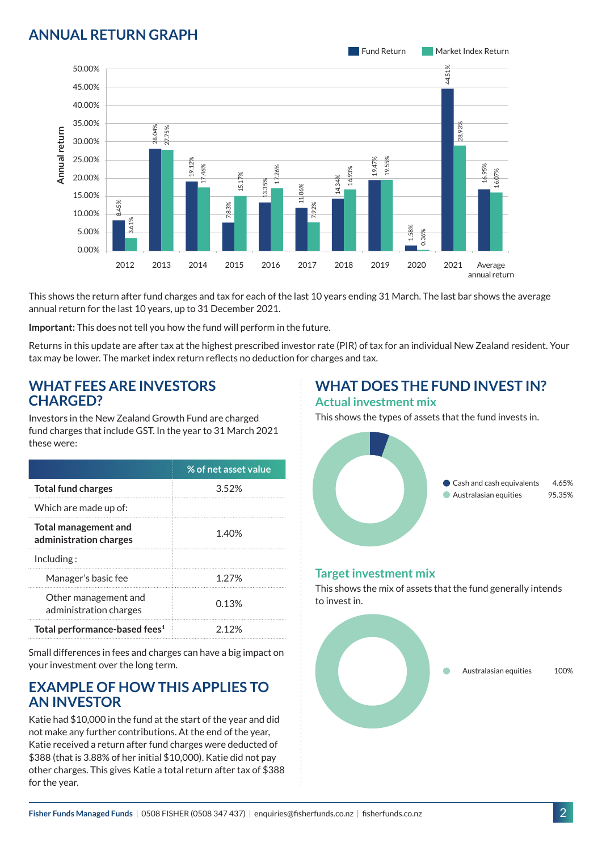## **ANNUAL RETURN GRAPH**



This shows the return after fund charges and tax for each of the last 10 years ending 31 March. The last bar shows the average annual return for the last 10 years, up to 31 December 2021.

**Important:** This does not tell you how the fund will perform in the future.

Returns in this update are after tax at the highest prescribed investor rate (PIR) of tax for an individual New Zealand resident. Your tax may be lower. The market index return reflects no deduction for charges and tax.

#### **WHAT FEES ARE INVESTORS CHARGED?**

Investors in the New Zealand Growth Fund are charged fund charges that include GST. In the year to 31 March 2021 these were:

|                                                       | % of net asset value |
|-------------------------------------------------------|----------------------|
| <b>Total fund charges</b>                             | 352%                 |
| Which are made up of:                                 |                      |
| <b>Total management and</b><br>administration charges | 1.40%                |
| Inding:                                               |                      |
| Manager's basic fee                                   | 1.27%                |
| Other management and<br>administration charges        | 0.13%                |
| Total performance-based fees <sup>1</sup>             | 2 12%                |

Small differences in fees and charges can have a big impact on your investment over the long term.

#### **EXAMPLE OF HOW THIS APPLIES TO AN INVESTOR**

Katie had \$10,000 in the fund at the start of the year and did not make any further contributions. At the end of the year, Katie received a return after fund charges were deducted of \$388 (that is 3.88% of her initial \$10,000). Katie did not pay other charges. This gives Katie a total return after tax of \$388 for the year.

#### **WHAT DOES THE FUND INVEST IN? Actual investment mix**

This shows the types of assets that the fund invests in.



#### **Target investment mix**

This shows the mix of assets that the fund generally intends to invest in.